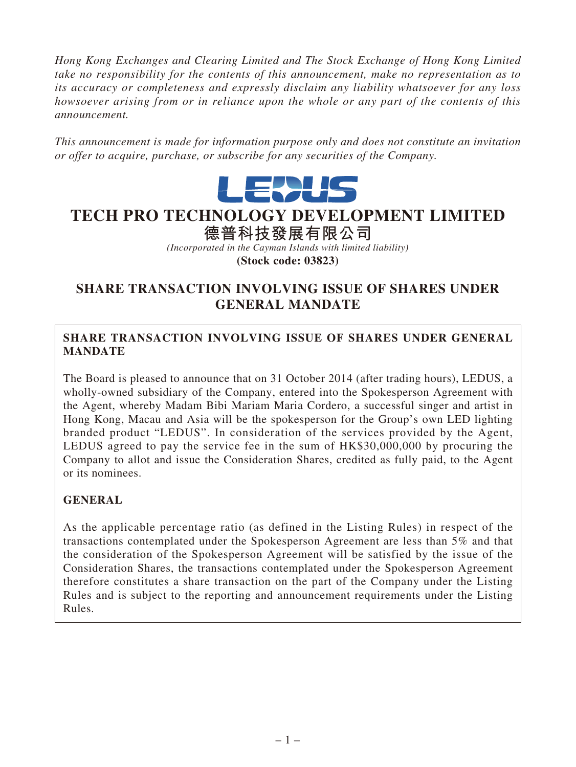*Hong Kong Exchanges and Clearing Limited and The Stock Exchange of Hong Kong Limited take no responsibility for the contents of this announcement, make no representation as to its accuracy or completeness and expressly disclaim any liability whatsoever for any loss howsoever arising from or in reliance upon the whole or any part of the contents of this announcement.*

*This announcement is made for information purpose only and does not constitute an invitation or offer to acquire, purchase, or subscribe for any securities of the Company.*



# **TECH PRO TECHNOLOGY DEVELOPMENT LIMITED**

## **德普科技發展有限公司**

*(Incorporated in the Cayman Islands with limited liability)* **(Stock code: 03823)**

## **SHARE TRANSACTION INVOLVING ISSUE OF SHARES UNDER GENERAL MANDATE**

### **SHARE TRANSACTION INVOLVING ISSUE OF SHARES UNDER GENERAL MANDATE**

The Board is pleased to announce that on 31 October 2014 (after trading hours), LEDUS, a wholly-owned subsidiary of the Company, entered into the Spokesperson Agreement with the Agent, whereby Madam Bibi Mariam Maria Cordero, a successful singer and artist in Hong Kong, Macau and Asia will be the spokesperson for the Group's own LED lighting branded product "LEDUS". In consideration of the services provided by the Agent, LEDUS agreed to pay the service fee in the sum of HK\$30,000,000 by procuring the Company to allot and issue the Consideration Shares, credited as fully paid, to the Agent or its nominees.

## **GENERAL**

As the applicable percentage ratio (as defined in the Listing Rules) in respect of the transactions contemplated under the Spokesperson Agreement are less than 5% and that the consideration of the Spokesperson Agreement will be satisfied by the issue of the Consideration Shares, the transactions contemplated under the Spokesperson Agreement therefore constitutes a share transaction on the part of the Company under the Listing Rules and is subject to the reporting and announcement requirements under the Listing Rules.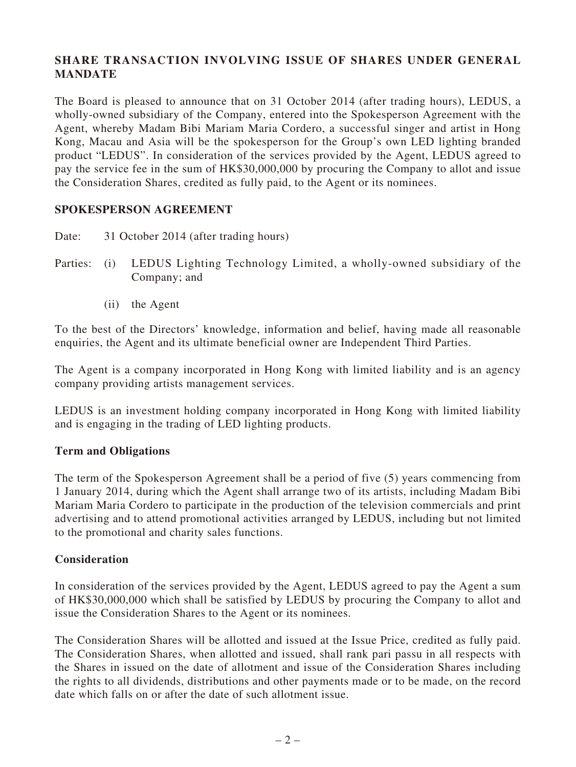## **SHARE TRANSACTION INVOLVING ISSUE OF SHARES UNDER GENERAL MANDATE**

The Board is pleased to announce that on 31 October 2014 (after trading hours), LEDUS, a wholly-owned subsidiary of the Company, entered into the Spokesperson Agreement with the Agent, whereby Madam Bibi Mariam Maria Cordero, a successful singer and artist in Hong Kong, Macau and Asia will be the spokesperson for the Group's own LED lighting branded product "LEDUS". In consideration of the services provided by the Agent, LEDUS agreed to pay the service fee in the sum of HK\$30,000,000 by procuring the Company to allot and issue the Consideration Shares, credited as fully paid, to the Agent or its nominees.

#### **SPOKESPERSON AGREEMENT**

Date: 31 October 2014 (after trading hours)

- Parties: (i) LEDUS Lighting Technology Limited, a wholly-owned subsidiary of the Company; and
	- (ii) the Agent

To the best of the Directors' knowledge, information and belief, having made all reasonable enquiries, the Agent and its ultimate beneficial owner are Independent Third Parties.

The Agent is a company incorporated in Hong Kong with limited liability and is an agency company providing artists management services.

LEDUS is an investment holding company incorporated in Hong Kong with limited liability and is engaging in the trading of LED lighting products.

#### **Term and Obligations**

The term of the Spokesperson Agreement shall be a period of five (5) years commencing from 1 January 2014, during which the Agent shall arrange two of its artists, including Madam Bibi Mariam Maria Cordero to participate in the production of the television commercials and print advertising and to attend promotional activities arranged by LEDUS, including but not limited to the promotional and charity sales functions.

#### **Consideration**

In consideration of the services provided by the Agent, LEDUS agreed to pay the Agent a sum of HK\$30,000,000 which shall be satisfied by LEDUS by procuring the Company to allot and issue the Consideration Shares to the Agent or its nominees.

The Consideration Shares will be allotted and issued at the Issue Price, credited as fully paid. The Consideration Shares, when allotted and issued, shall rank pari passu in all respects with the Shares in issued on the date of allotment and issue of the Consideration Shares including the rights to all dividends, distributions and other payments made or to be made, on the record date which falls on or after the date of such allotment issue.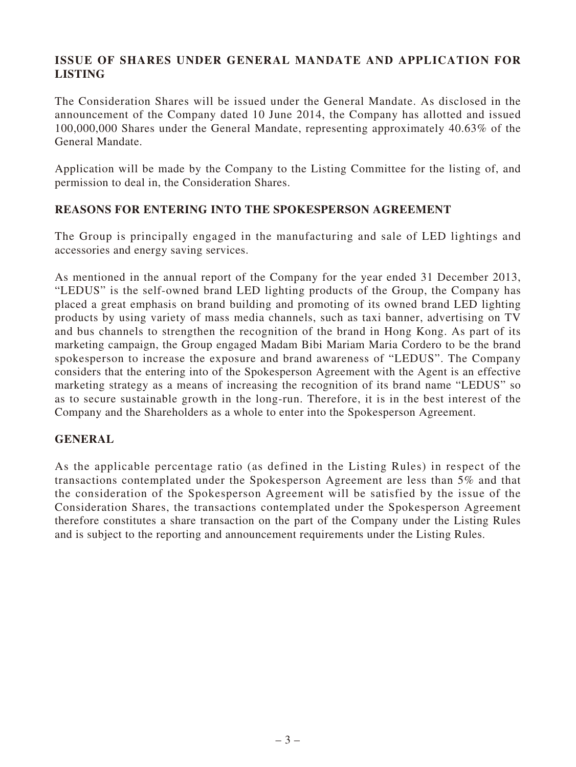#### **ISSUE OF SHARES UNDER GENERAL MANDATE AND APPLICATION FOR LISTING**

The Consideration Shares will be issued under the General Mandate. As disclosed in the announcement of the Company dated 10 June 2014, the Company has allotted and issued 100,000,000 Shares under the General Mandate, representing approximately 40.63% of the General Mandate.

Application will be made by the Company to the Listing Committee for the listing of, and permission to deal in, the Consideration Shares.

#### **REASONS FOR ENTERING INTO THE SPOKESPERSON AGREEMENT**

The Group is principally engaged in the manufacturing and sale of LED lightings and accessories and energy saving services.

As mentioned in the annual report of the Company for the year ended 31 December 2013, "LEDUS" is the self-owned brand LED lighting products of the Group, the Company has placed a great emphasis on brand building and promoting of its owned brand LED lighting products by using variety of mass media channels, such as taxi banner, advertising on TV and bus channels to strengthen the recognition of the brand in Hong Kong. As part of its marketing campaign, the Group engaged Madam Bibi Mariam Maria Cordero to be the brand spokesperson to increase the exposure and brand awareness of "LEDUS". The Company considers that the entering into of the Spokesperson Agreement with the Agent is an effective marketing strategy as a means of increasing the recognition of its brand name "LEDUS" so as to secure sustainable growth in the long-run. Therefore, it is in the best interest of the Company and the Shareholders as a whole to enter into the Spokesperson Agreement.

#### **GENERAL**

As the applicable percentage ratio (as defined in the Listing Rules) in respect of the transactions contemplated under the Spokesperson Agreement are less than 5% and that the consideration of the Spokesperson Agreement will be satisfied by the issue of the Consideration Shares, the transactions contemplated under the Spokesperson Agreement therefore constitutes a share transaction on the part of the Company under the Listing Rules and is subject to the reporting and announcement requirements under the Listing Rules.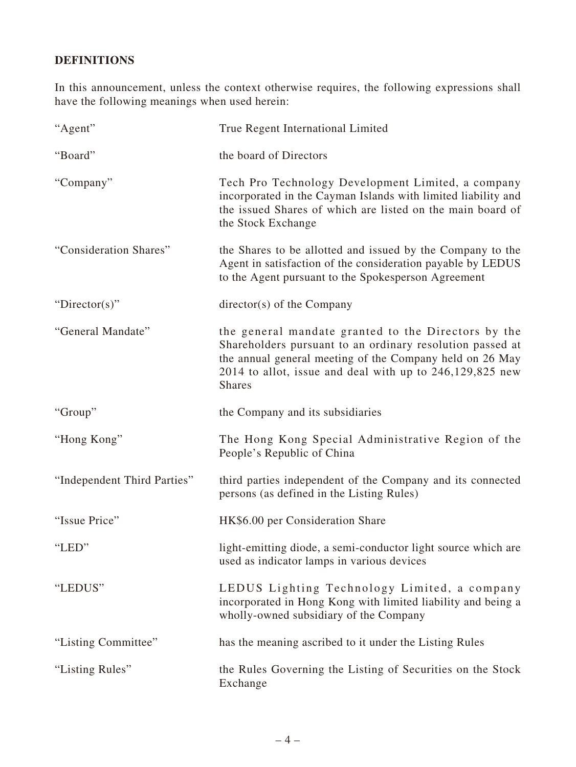## **DEFINITIONS**

In this announcement, unless the context otherwise requires, the following expressions shall have the following meanings when used herein:

| "Agent"                     | True Regent International Limited                                                                                                                                                                                                                           |
|-----------------------------|-------------------------------------------------------------------------------------------------------------------------------------------------------------------------------------------------------------------------------------------------------------|
| "Board"                     | the board of Directors                                                                                                                                                                                                                                      |
| "Company"                   | Tech Pro Technology Development Limited, a company<br>incorporated in the Cayman Islands with limited liability and<br>the issued Shares of which are listed on the main board of<br>the Stock Exchange                                                     |
| "Consideration Shares"      | the Shares to be allotted and issued by the Company to the<br>Agent in satisfaction of the consideration payable by LEDUS<br>to the Agent pursuant to the Spokesperson Agreement                                                                            |
| "Director(s)"               | $\text{directory}(s)$ of the Company                                                                                                                                                                                                                        |
| "General Mandate"           | the general mandate granted to the Directors by the<br>Shareholders pursuant to an ordinary resolution passed at<br>the annual general meeting of the Company held on 26 May<br>2014 to allot, issue and deal with up to $246,129,825$ new<br><b>Shares</b> |
| "Group"                     | the Company and its subsidiaries                                                                                                                                                                                                                            |
| "Hong Kong"                 | The Hong Kong Special Administrative Region of the<br>People's Republic of China                                                                                                                                                                            |
| "Independent Third Parties" | third parties independent of the Company and its connected<br>persons (as defined in the Listing Rules)                                                                                                                                                     |
| "Issue Price"               | HK\$6.00 per Consideration Share                                                                                                                                                                                                                            |
| "LED"                       | light-emitting diode, a semi-conductor light source which are<br>used as indicator lamps in various devices                                                                                                                                                 |
| "LEDUS"                     | LEDUS Lighting Technology Limited, a company<br>incorporated in Hong Kong with limited liability and being a<br>wholly-owned subsidiary of the Company                                                                                                      |
| "Listing Committee"         | has the meaning ascribed to it under the Listing Rules                                                                                                                                                                                                      |
| "Listing Rules"             | the Rules Governing the Listing of Securities on the Stock<br>Exchange                                                                                                                                                                                      |